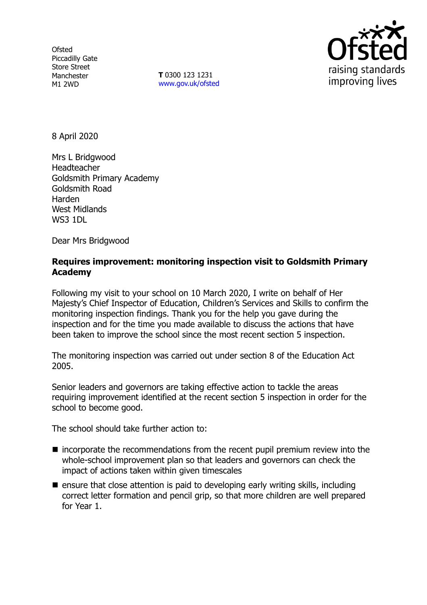**Ofsted** Piccadilly Gate Store Street Manchester M1 2WD

**T** 0300 123 1231 [www.gov.uk/ofsted](http://www.gov.uk/ofsted)



8 April 2020

Mrs L Bridgwood Headteacher Goldsmith Primary Academy Goldsmith Road Harden West Midlands **WS3 1DL** 

Dear Mrs Bridgwood

### **Requires improvement: monitoring inspection visit to Goldsmith Primary Academy**

Following my visit to your school on 10 March 2020, I write on behalf of Her Majesty's Chief Inspector of Education, Children's Services and Skills to confirm the monitoring inspection findings. Thank you for the help you gave during the inspection and for the time you made available to discuss the actions that have been taken to improve the school since the most recent section 5 inspection.

The monitoring inspection was carried out under section 8 of the Education Act 2005.

Senior leaders and governors are taking effective action to tackle the areas requiring improvement identified at the recent section 5 inspection in order for the school to become good.

The school should take further action to:

- incorporate the recommendations from the recent pupil premium review into the whole-school improvement plan so that leaders and governors can check the impact of actions taken within given timescales
- $\blacksquare$  ensure that close attention is paid to developing early writing skills, including correct letter formation and pencil grip, so that more children are well prepared for Year 1.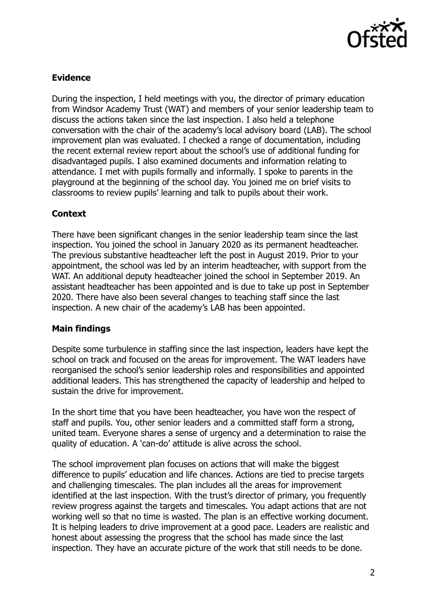

# **Evidence**

During the inspection, I held meetings with you, the director of primary education from Windsor Academy Trust (WAT) and members of your senior leadership team to discuss the actions taken since the last inspection. I also held a telephone conversation with the chair of the academy's local advisory board (LAB). The school improvement plan was evaluated. I checked a range of documentation, including the recent external review report about the school's use of additional funding for disadvantaged pupils. I also examined documents and information relating to attendance. I met with pupils formally and informally. I spoke to parents in the playground at the beginning of the school day. You joined me on brief visits to classrooms to review pupils' learning and talk to pupils about their work.

## **Context**

There have been significant changes in the senior leadership team since the last inspection. You joined the school in January 2020 as its permanent headteacher. The previous substantive headteacher left the post in August 2019. Prior to your appointment, the school was led by an interim headteacher, with support from the WAT. An additional deputy headteacher joined the school in September 2019. An assistant headteacher has been appointed and is due to take up post in September 2020. There have also been several changes to teaching staff since the last inspection. A new chair of the academy's LAB has been appointed.

### **Main findings**

Despite some turbulence in staffing since the last inspection, leaders have kept the school on track and focused on the areas for improvement. The WAT leaders have reorganised the school's senior leadership roles and responsibilities and appointed additional leaders. This has strengthened the capacity of leadership and helped to sustain the drive for improvement.

In the short time that you have been headteacher, you have won the respect of staff and pupils. You, other senior leaders and a committed staff form a strong, united team. Everyone shares a sense of urgency and a determination to raise the quality of education. A 'can-do' attitude is alive across the school.

The school improvement plan focuses on actions that will make the biggest difference to pupils' education and life chances. Actions are tied to precise targets and challenging timescales. The plan includes all the areas for improvement identified at the last inspection. With the trust's director of primary, you frequently review progress against the targets and timescales. You adapt actions that are not working well so that no time is wasted. The plan is an effective working document. It is helping leaders to drive improvement at a good pace. Leaders are realistic and honest about assessing the progress that the school has made since the last inspection. They have an accurate picture of the work that still needs to be done.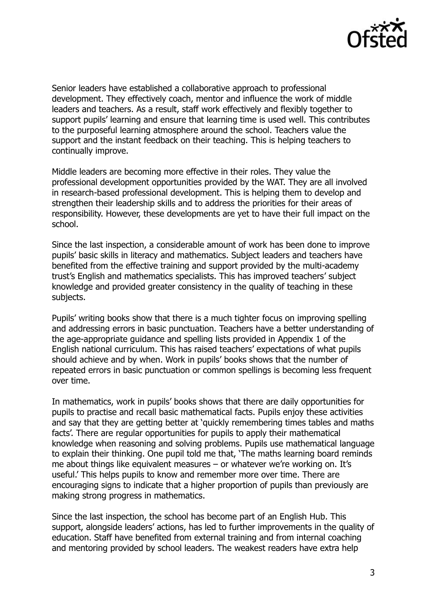

Senior leaders have established a collaborative approach to professional development. They effectively coach, mentor and influence the work of middle leaders and teachers. As a result, staff work effectively and flexibly together to support pupils' learning and ensure that learning time is used well. This contributes to the purposeful learning atmosphere around the school. Teachers value the support and the instant feedback on their teaching. This is helping teachers to continually improve.

Middle leaders are becoming more effective in their roles. They value the professional development opportunities provided by the WAT. They are all involved in research-based professional development. This is helping them to develop and strengthen their leadership skills and to address the priorities for their areas of responsibility. However, these developments are yet to have their full impact on the school.

Since the last inspection, a considerable amount of work has been done to improve pupils' basic skills in literacy and mathematics. Subject leaders and teachers have benefited from the effective training and support provided by the multi-academy trust's English and mathematics specialists. This has improved teachers' subject knowledge and provided greater consistency in the quality of teaching in these subjects.

Pupils' writing books show that there is a much tighter focus on improving spelling and addressing errors in basic punctuation. Teachers have a better understanding of the age-appropriate guidance and spelling lists provided in Appendix 1 of the English national curriculum. This has raised teachers' expectations of what pupils should achieve and by when. Work in pupils' books shows that the number of repeated errors in basic punctuation or common spellings is becoming less frequent over time.

In mathematics, work in pupils' books shows that there are daily opportunities for pupils to practise and recall basic mathematical facts. Pupils enjoy these activities and say that they are getting better at 'quickly remembering times tables and maths facts'. There are regular opportunities for pupils to apply their mathematical knowledge when reasoning and solving problems. Pupils use mathematical language to explain their thinking. One pupil told me that, 'The maths learning board reminds me about things like equivalent measures – or whatever we're working on. It's useful.' This helps pupils to know and remember more over time. There are encouraging signs to indicate that a higher proportion of pupils than previously are making strong progress in mathematics.

Since the last inspection, the school has become part of an English Hub. This support, alongside leaders' actions, has led to further improvements in the quality of education. Staff have benefited from external training and from internal coaching and mentoring provided by school leaders. The weakest readers have extra help